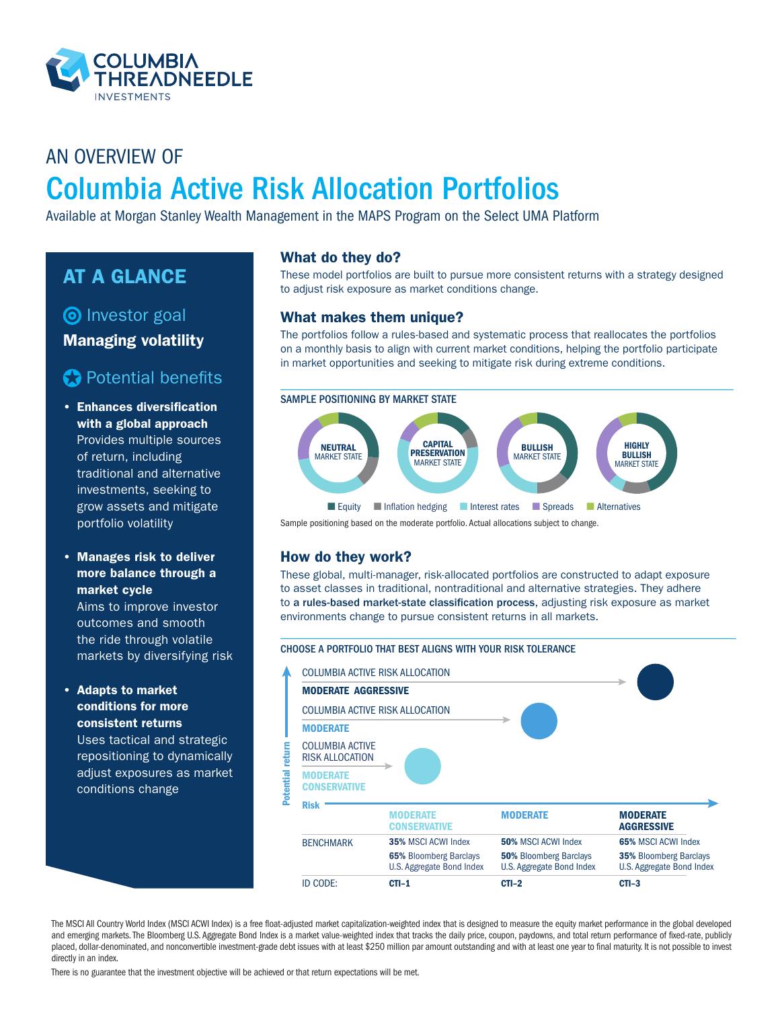

# AN OVERVIEW OF Columbia Active Risk Allocation Portfolios

Available at Morgan Stanley Wealth Management in the MAPS Program on the Select UMA Platform

# AT A GLANCE

# **O** Investor goal

Managing volatility

# **Potential benefits**

• Enhances diversification with a global approach Provides multiple sources of return, including traditional and alternative investments, seeking to grow assets and mitigate portfolio volatility

### • Manages risk to deliver more balance through a market cycle

Aims to improve investor outcomes and smooth the ride through volatile markets by diversifying risk

#### • Adapts to market conditions for more consistent returns

Uses tactical and strategic repositioning to dynamically adjust exposures as market conditions change

### What do they do?

These model portfolios are built to pursue more consistent returns with a strategy designed to adjust risk exposure as market conditions change.

### What makes them unique?

The portfolios follow a rules-based and systematic process that reallocates the portfolios on a monthly basis to align with current market conditions, helping the portfolio participate in market opportunities and seeking to mitigate risk during extreme conditions.



Sample positioning based on the moderate portfolio. Actual allocations subject to change.

## How do they work?

These global, multi-manager, risk-allocated portfolios are constructed to adapt exposure to asset classes in traditional, nontraditional and alternative strategies. They adhere to a rules-based market-state classification process, adjusting risk exposure as market environments change to pursue consistent returns in all markets.

#### CHOOSE A PORTFOLIO THAT BEST ALIGNS WITH YOUR RISK TOLERANCE



The MSCI All Country World Index (MSCI ACWI Index) is a free float-adjusted market capitalization-weighted index that is designed to measure the equity market performance in the global developed and emerging markets. The Bloomberg U.S. Aggregate Bond Index is a market value-weighted index that tracks the daily price, coupon, paydowns, and total return performance of fixed-rate, publicly placed, dollar-denominated, and nonconvertible investment-grade debt issues with at least \$250 million par amount outstanding and with at least one year to final maturity. It is not possible to invest directly in an index.

There is no guarantee that the investment objective will be achieved or that return expectations will be met.